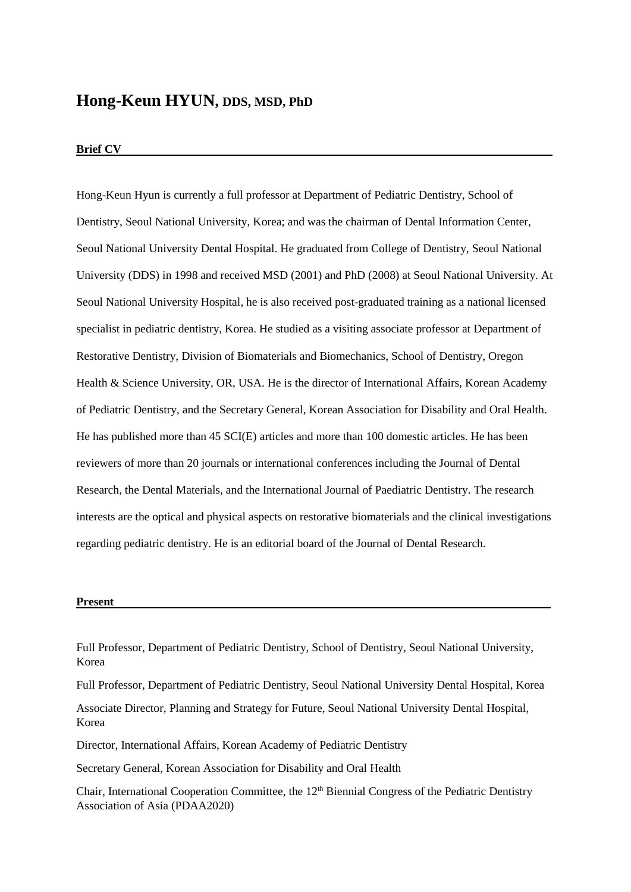## **Hong-Keun HYUN, DDS, MSD, PhD**

## **Brief CV**

Hong-Keun Hyun is currently a full professor at Department of Pediatric Dentistry, School of Dentistry, Seoul National University, Korea; and was the chairman of Dental Information Center, Seoul National University Dental Hospital. He graduated from College of Dentistry, Seoul National University (DDS) in 1998 and received MSD (2001) and PhD (2008) at Seoul National University. At Seoul National University Hospital, he is also received post-graduated training as a national licensed specialist in pediatric dentistry, Korea. He studied as a visiting associate professor at Department of Restorative Dentistry, Division of Biomaterials and Biomechanics, School of Dentistry, Oregon Health & Science University, OR, USA. He is the director of International Affairs, Korean Academy of Pediatric Dentistry, and the Secretary General, Korean Association for Disability and Oral Health. He has published more than 45 SCI(E) articles and more than 100 domestic articles. He has been reviewers of more than 20 journals or international conferences including the Journal of Dental Research, the Dental Materials, and the International Journal of Paediatric Dentistry. The research interests are the optical and physical aspects on restorative biomaterials and the clinical investigations regarding pediatric dentistry. He is an editorial board of the Journal of Dental Research.

## **Present**

Full Professor, Department of Pediatric Dentistry, School of Dentistry, Seoul National University, Korea

Full Professor, Department of Pediatric Dentistry, Seoul National University Dental Hospital, Korea

Associate Director, Planning and Strategy for Future, Seoul National University Dental Hospital, Korea

Director, International Affairs, Korean Academy of Pediatric Dentistry

Secretary General, Korean Association for Disability and Oral Health

Chair, International Cooperation Committee, the 12th Biennial Congress of the Pediatric Dentistry Association of Asia (PDAA2020)